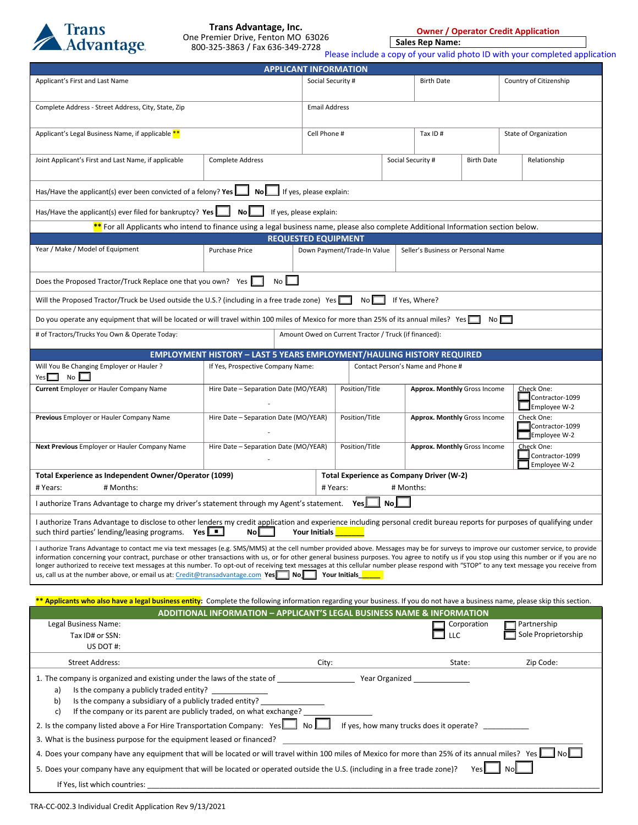

**Owner / Operator Credit Application**

**Sales Rep Name:**

|                                                                                                                                                                                                                                                                                                           |                                                                                   |                                                                   |                   |                                                      |                                 | Please include a copy of your valid photo ID with your completed application |  |  |  |
|-----------------------------------------------------------------------------------------------------------------------------------------------------------------------------------------------------------------------------------------------------------------------------------------------------------|-----------------------------------------------------------------------------------|-------------------------------------------------------------------|-------------------|------------------------------------------------------|---------------------------------|------------------------------------------------------------------------------|--|--|--|
| <b>APPLICANT INFORMATION</b>                                                                                                                                                                                                                                                                              |                                                                                   |                                                                   |                   |                                                      |                                 |                                                                              |  |  |  |
| Applicant's First and Last Name                                                                                                                                                                                                                                                                           | Social Security #                                                                 |                                                                   | <b>Birth Date</b> |                                                      | Country of Citizenship          |                                                                              |  |  |  |
|                                                                                                                                                                                                                                                                                                           |                                                                                   |                                                                   |                   |                                                      |                                 |                                                                              |  |  |  |
| Complete Address - Street Address, City, State, Zip                                                                                                                                                                                                                                                       |                                                                                   | <b>Email Address</b>                                              |                   |                                                      |                                 |                                                                              |  |  |  |
|                                                                                                                                                                                                                                                                                                           |                                                                                   |                                                                   |                   |                                                      |                                 |                                                                              |  |  |  |
| Applicant's Legal Business Name, if applicable **                                                                                                                                                                                                                                                         |                                                                                   | Cell Phone #                                                      |                   | Tax ID#                                              |                                 | State of Organization                                                        |  |  |  |
|                                                                                                                                                                                                                                                                                                           |                                                                                   |                                                                   |                   |                                                      |                                 |                                                                              |  |  |  |
| Joint Applicant's First and Last Name, if applicable                                                                                                                                                                                                                                                      | Complete Address                                                                  |                                                                   |                   | Social Security #<br><b>Birth Date</b>               |                                 | Relationship                                                                 |  |  |  |
|                                                                                                                                                                                                                                                                                                           |                                                                                   |                                                                   |                   |                                                      |                                 |                                                                              |  |  |  |
| Has/Have the applicant(s) ever been convicted of a felony? Yes                                                                                                                                                                                                                                            | <b>No</b>                                                                         | If yes, please explain:                                           |                   |                                                      |                                 |                                                                              |  |  |  |
|                                                                                                                                                                                                                                                                                                           |                                                                                   |                                                                   |                   |                                                      |                                 |                                                                              |  |  |  |
| Has/Have the applicant(s) ever filed for bankruptcy? Yes<br>If yes, please explain:<br>No<br>** For all Applicants who intend to finance using a legal business name, please also complete Additional Information section below.                                                                          |                                                                                   |                                                                   |                   |                                                      |                                 |                                                                              |  |  |  |
|                                                                                                                                                                                                                                                                                                           |                                                                                   | <b>REQUESTED EQUIPMENT</b>                                        |                   |                                                      |                                 |                                                                              |  |  |  |
| Year / Make / Model of Equipment                                                                                                                                                                                                                                                                          | <b>Purchase Price</b>                                                             | Down Payment/Trade-In Value                                       |                   | Seller's Business or Personal Name                   |                                 |                                                                              |  |  |  |
|                                                                                                                                                                                                                                                                                                           |                                                                                   |                                                                   |                   |                                                      |                                 |                                                                              |  |  |  |
|                                                                                                                                                                                                                                                                                                           |                                                                                   |                                                                   |                   |                                                      |                                 |                                                                              |  |  |  |
| Does the Proposed Tractor/Truck Replace one that you own? Yes                                                                                                                                                                                                                                             | No I                                                                              |                                                                   |                   |                                                      |                                 |                                                                              |  |  |  |
| Will the Proposed Tractor/Truck be Used outside the U.S.? (including in a free trade zone) Yes                                                                                                                                                                                                            |                                                                                   | No l                                                              |                   | If Yes, Where?                                       |                                 |                                                                              |  |  |  |
|                                                                                                                                                                                                                                                                                                           |                                                                                   |                                                                   |                   |                                                      |                                 |                                                                              |  |  |  |
| Do you operate any equipment that will be located or will travel within 100 miles of Mexico for more than 25% of its annual miles? Yes                                                                                                                                                                    |                                                                                   |                                                                   |                   |                                                      | No                              |                                                                              |  |  |  |
| # of Tractors/Trucks You Own & Operate Today:                                                                                                                                                                                                                                                             |                                                                                   | Amount Owed on Current Tractor / Truck (if financed):             |                   |                                                      |                                 |                                                                              |  |  |  |
|                                                                                                                                                                                                                                                                                                           |                                                                                   |                                                                   |                   |                                                      |                                 |                                                                              |  |  |  |
|                                                                                                                                                                                                                                                                                                           | <b>EMPLOYMENT HISTORY - LAST 5 YEARS EMPLOYMENT/HAULING HISTORY REQUIRED</b>      |                                                                   |                   | Contact Person's Name and Phone #                    |                                 |                                                                              |  |  |  |
| Will You Be Changing Employer or Hauler ?<br>No L<br>$Yes$ $\Box$                                                                                                                                                                                                                                         | If Yes, Prospective Company Name:                                                 |                                                                   |                   |                                                      |                                 |                                                                              |  |  |  |
| <b>Current</b> Employer or Hauler Company Name                                                                                                                                                                                                                                                            | Hire Date - Separation Date (MO/YEAR)                                             | Position/Title                                                    |                   | <b>Approx. Monthly Gross Income</b>                  |                                 | Check One:                                                                   |  |  |  |
|                                                                                                                                                                                                                                                                                                           |                                                                                   |                                                                   |                   |                                                      |                                 | Contractor-1099                                                              |  |  |  |
|                                                                                                                                                                                                                                                                                                           |                                                                                   |                                                                   |                   |                                                      |                                 | Employee W-2                                                                 |  |  |  |
| Previous Employer or Hauler Company Name                                                                                                                                                                                                                                                                  | Hire Date - Separation Date (MO/YEAR)                                             | Position/Title                                                    |                   | <b>Approx. Monthly Gross Income</b>                  |                                 | Check One:<br>Contractor-1099                                                |  |  |  |
|                                                                                                                                                                                                                                                                                                           |                                                                                   |                                                                   |                   |                                                      |                                 | Employee W-2                                                                 |  |  |  |
| Next Previous Employer or Hauler Company Name                                                                                                                                                                                                                                                             | Hire Date - Separation Date (MO/YEAR)                                             | Position/Title                                                    |                   | <b>Approx. Monthly Gross Income</b>                  |                                 | Check One:                                                                   |  |  |  |
|                                                                                                                                                                                                                                                                                                           |                                                                                   |                                                                   |                   |                                                      | Contractor-1099<br>Employee W-2 |                                                                              |  |  |  |
| Total Experience as Independent Owner/Operator (1099)                                                                                                                                                                                                                                                     |                                                                                   |                                                                   |                   |                                                      |                                 |                                                                              |  |  |  |
| # Months:<br># Years:                                                                                                                                                                                                                                                                                     |                                                                                   | Total Experience as Company Driver (W-2)<br># Years:<br># Months: |                   |                                                      |                                 |                                                                              |  |  |  |
|                                                                                                                                                                                                                                                                                                           |                                                                                   |                                                                   |                   |                                                      |                                 |                                                                              |  |  |  |
| I authorize Trans Advantage to charge my driver's statement through my Agent's statement. Yes                                                                                                                                                                                                             |                                                                                   |                                                                   | No L              |                                                      |                                 |                                                                              |  |  |  |
| I authorize Trans Advantage to disclose to other lenders my credit application and experience including personal credit bureau reports for purposes of qualifying under                                                                                                                                   |                                                                                   |                                                                   |                   |                                                      |                                 |                                                                              |  |  |  |
| such third parties' lending/leasing programs. Yes                                                                                                                                                                                                                                                         | No                                                                                | Your Initials                                                     |                   |                                                      |                                 |                                                                              |  |  |  |
| I authorize Trans Advantage to contact me via text messages (e.g. SMS/MMS) at the cell number provided above. Messages may be for surveys to improve our customer service, to provide                                                                                                                     |                                                                                   |                                                                   |                   |                                                      |                                 |                                                                              |  |  |  |
| information concerning your contract, purchase or other transactions with us, or for other general business purposes. You agree to notify us if you stop using this number or if you are no                                                                                                               |                                                                                   |                                                                   |                   |                                                      |                                 |                                                                              |  |  |  |
| longer authorized to receive text messages at this number. To opt-out of receiving text messages at this cellular number please respond with "STOP" to any text message you receive from<br>us, call us at the number above, or email us at: Credit@transadvantage.com Yes $\Box$ No $\Box$ Your Initials |                                                                                   |                                                                   |                   |                                                      |                                 |                                                                              |  |  |  |
|                                                                                                                                                                                                                                                                                                           |                                                                                   |                                                                   |                   |                                                      |                                 |                                                                              |  |  |  |
| ** Applicants who also have a legal business entity: Complete the following information regarding your business. If you do not have a business name, please skip this section.                                                                                                                            |                                                                                   |                                                                   |                   |                                                      |                                 |                                                                              |  |  |  |
|                                                                                                                                                                                                                                                                                                           | <b>ADDITIONAL INFORMATION - APPLICANT'S LEGAL BUSINESS NAME &amp; INFORMATION</b> |                                                                   |                   |                                                      |                                 |                                                                              |  |  |  |
| Legal Business Name:                                                                                                                                                                                                                                                                                      |                                                                                   |                                                                   |                   |                                                      | Corporation                     | Partnership                                                                  |  |  |  |
| Tax ID# or SSN:                                                                                                                                                                                                                                                                                           |                                                                                   |                                                                   |                   | LLC                                                  |                                 | Sole Proprietorship                                                          |  |  |  |
| US DOT #:                                                                                                                                                                                                                                                                                                 |                                                                                   |                                                                   |                   |                                                      |                                 |                                                                              |  |  |  |
| <b>Street Address:</b>                                                                                                                                                                                                                                                                                    |                                                                                   | City:                                                             |                   | State:                                               |                                 | Zip Code:                                                                    |  |  |  |
|                                                                                                                                                                                                                                                                                                           |                                                                                   |                                                                   |                   |                                                      |                                 |                                                                              |  |  |  |
|                                                                                                                                                                                                                                                                                                           |                                                                                   |                                                                   |                   |                                                      |                                 |                                                                              |  |  |  |
| Is the company a publicly traded entity?<br>a)                                                                                                                                                                                                                                                            |                                                                                   |                                                                   |                   |                                                      |                                 |                                                                              |  |  |  |
| b)<br>Is the company a subsidiary of a publicly traded entity?<br>If the company or its parent are publicly traded, on what exchange?<br>c)                                                                                                                                                               |                                                                                   |                                                                   |                   |                                                      |                                 |                                                                              |  |  |  |
| 2. Is the company listed above a For Hire Transportation Company: Yes                                                                                                                                                                                                                                     |                                                                                   | No l                                                              |                   | If yes, how many trucks does it operate? ___________ |                                 |                                                                              |  |  |  |
|                                                                                                                                                                                                                                                                                                           |                                                                                   |                                                                   |                   |                                                      |                                 |                                                                              |  |  |  |
| 3. What is the business purpose for the equipment leased or financed?                                                                                                                                                                                                                                     |                                                                                   |                                                                   |                   |                                                      |                                 |                                                                              |  |  |  |

4. Does your company have any equipment that will be located or will travel within 100 miles of Mexico for more than 25% of its annual miles? Yes  $\Box$  No $\Box$ 

5. Does your company have any equipment that will be located or operated outside the U.S. (including in a free trade zone)? Yes  $\Box$  No

| $\sim$<br>lic'<br>Mh1<br>puntries: | _____ |  |  |
|------------------------------------|-------|--|--|
|                                    |       |  |  |